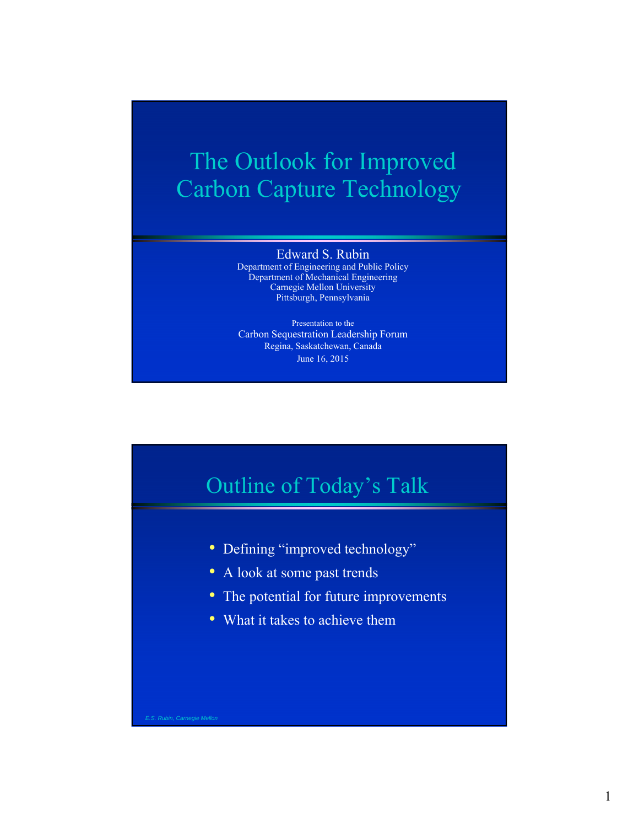# The Outlook for Improved Carbon Capture Technology

### Edward S. Rubin

Department of Engineering and Public Policy Department of Mechanical Engineering Carnegie Mellon University Pittsburgh, Pennsylvania

Presentation to the Carbon Sequestration Leadership Forum Regina, Saskatchewan, Canada June 16, 2015



- Defining "improved technology"
- A look at some past trends
- The potential for future improvements
- What it takes to achieve them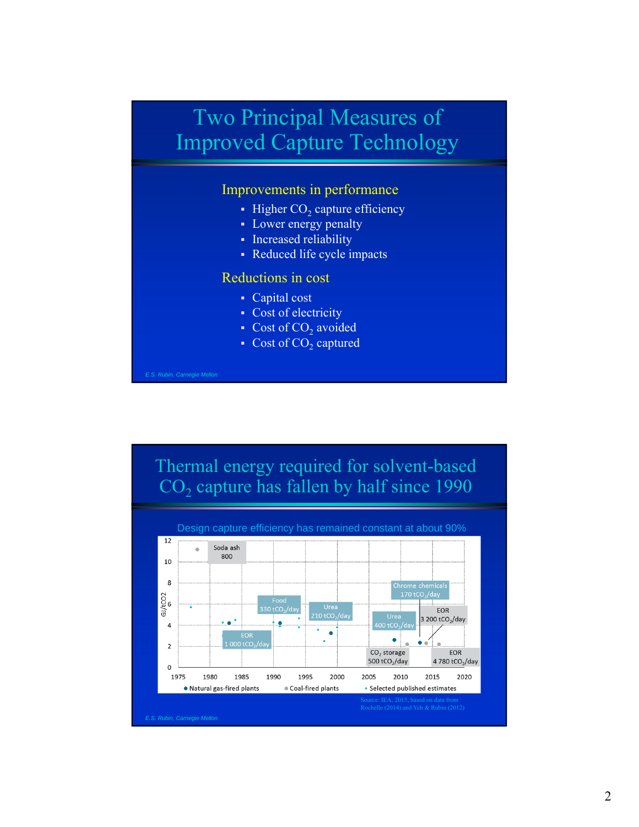## Two Principal Measures of Improved Capture Technology

#### Improvements in performance

- Higher  $CO<sub>2</sub>$  capture efficiency
- Lower energy penalty
- Increased reliability
- Reduced life cycle impacts

### Reductions in cost

- Capital cost
- Cost of electricity
- Cost of  $CO<sub>2</sub>$  avoided
- Cost of  $CO<sub>2</sub>$  captured

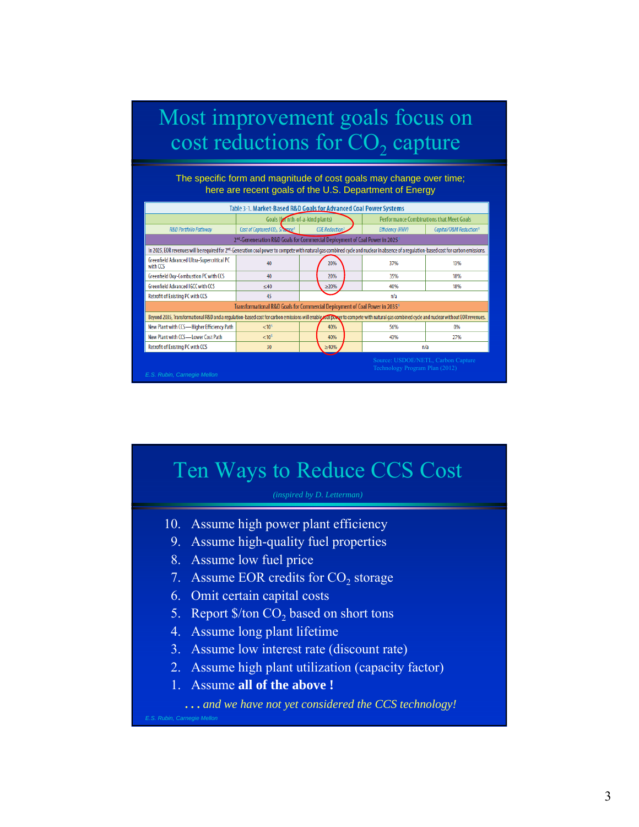### Most improvement goals focus on cost reductions for  $CO<sub>2</sub>$  capture

The specific form and magnitude of cost goals may change over time; here are recent goals of the U.S. Department of Energy

| Table 3-1. Market-Based R&D Goals for Advanced Coal Power Systems                                                                                                                                    |                                                                                         |  |                                                 |  |                         |                                    |
|------------------------------------------------------------------------------------------------------------------------------------------------------------------------------------------------------|-----------------------------------------------------------------------------------------|--|-------------------------------------------------|--|-------------------------|------------------------------------|
|                                                                                                                                                                                                      | Goals (for nth-of-a-kind plants)                                                        |  | <b>Performance Combinations that Meet Goals</b> |  |                         |                                    |
| <b>R&amp;D Portfolio Pathway</b>                                                                                                                                                                     | Cost of Captured CO <sub>2</sub> , Schanne <sup>1</sup>                                 |  | COE Reduction <sup>2</sup> .                    |  | <b>Efficiency (HHV)</b> | Capital/O&M Reduction <sup>3</sup> |
|                                                                                                                                                                                                      | 2 <sup>nd</sup> -Geneneration R&D Goals for Commercial Deployment of Coal Power in 2025 |  |                                                 |  |                         |                                    |
| In 2025, EOR revenues will be required for 2 <sup>nd</sup> -Generation coal power to compete with natural gas combined cycle and nuclear in absence of a regulation-based cost for carbon emissions. |                                                                                         |  |                                                 |  |                         |                                    |
| Greenfield Advanced Ultra-Supercritical PC<br>with CCS                                                                                                                                               | 40                                                                                      |  | 20%                                             |  | 37%                     | 13%                                |
| Greenfield Oxy-Combustion PC with CCS                                                                                                                                                                | 40                                                                                      |  | 20%                                             |  | 35%                     | 18%                                |
| Greenfield Advanced IGCC with CCS                                                                                                                                                                    | $<$ 40                                                                                  |  | $\geq$ 20%                                      |  | 40%                     | 18%                                |
| <b>Retrofit of Existing PC with CCS</b>                                                                                                                                                              | 45                                                                                      |  |                                                 |  | n/a                     |                                    |
| Transformational R&D Goals for Commercial Deployment of Coal Power in 2035 <sup>4</sup>                                                                                                              |                                                                                         |  |                                                 |  |                         |                                    |
| Beyond 2035, Transformational R&D and a requlation-based cost for carbon emissions will enable coal power to compete with natural qas combined cycle and nuclear without EOR revenues.               |                                                                                         |  |                                                 |  |                         |                                    |
| New Plant with CCS-Higher Efficiency Path                                                                                                                                                            | < 10 <sup>5</sup>                                                                       |  | 40%                                             |  | 56%                     | 0%                                 |
| New Plant with CCS-Lower Cost Path                                                                                                                                                                   | < 10 <sup>5</sup>                                                                       |  | 40%                                             |  | 43%                     | 27%                                |
| <b>Retrofit of Existing PC with CCS</b>                                                                                                                                                              | 30                                                                                      |  | $\geq 40\%$                                     |  | n/a                     |                                    |
| Source: USDOE/NETL, Carbon Capture<br>Technology Program Plan (2012)<br>E.S. Rubin, Carnegie Mellon                                                                                                  |                                                                                         |  |                                                 |  |                         |                                    |

### Ten Ways to Reduce CCS Cost

- 10. Assume high power plant efficiency
- 9. Assume high-quality fuel properties
- 8. Assume low fuel price
- 7. Assume EOR credits for  $CO<sub>2</sub>$  storage
- 6. Omit certain capital costs
- 5. Report  $\frac{1}{2}$  /ton CO<sub>2</sub> based on short tons
- 4. Assume long plant lifetime
- 3. Assume low interest rate (discount rate)
- 2. Assume high plant utilization (capacity factor)
- 1. Assume **all of the above !**

**. . .** *and we have not yet considered the CCS technology!*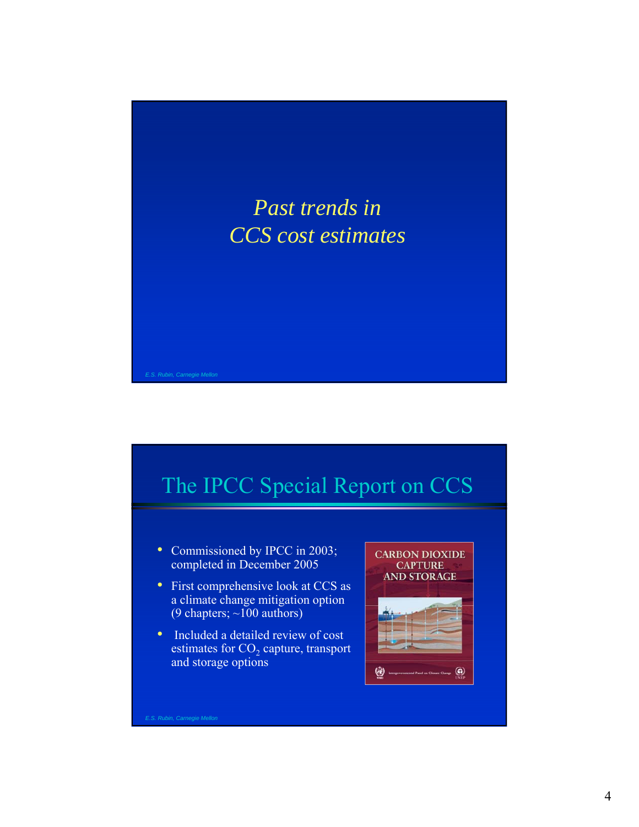

# The IPCC Special Report on CCS

- Commissioned by IPCC in 2003; completed in December 2005
- First comprehensive look at CCS as a climate change mitigation option (9 chapters;  $\sim$ 100 authors)
- Included a detailed review of cost estimates for  $CO<sub>2</sub>$  capture, transport and storage options



4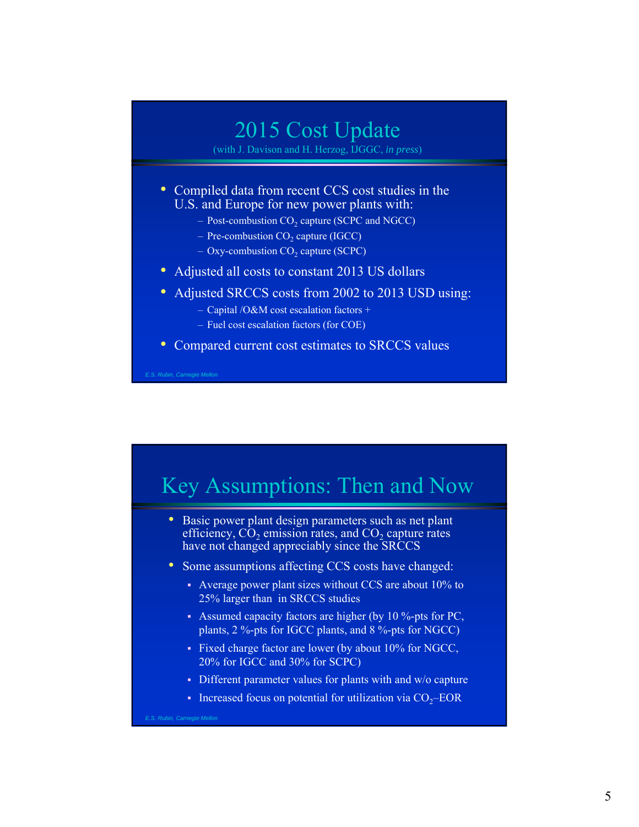## 2015 Cost Update

(with J. Davison and H. Herzog, IJGGC, *in press*)

- Compiled data from recent CCS cost studies in the U.S. and Europe for new power plants with:
	- Post-combustion CO<sub>2</sub> capture (SCPC and NGCC)
	- $-$  Pre-combustion CO<sub>2</sub> capture (IGCC)
	- $–$  Oxy-combustion CO<sub>2</sub> capture (SCPC)
- Adjusted all costs to constant 2013 US dollars
- Adjusted SRCCS costs from 2002 to 2013 USD using:
	- Capital /O&M cost escalation factors +
	- Fuel cost escalation factors (for COE)
- Compared current cost estimates to SRCCS values

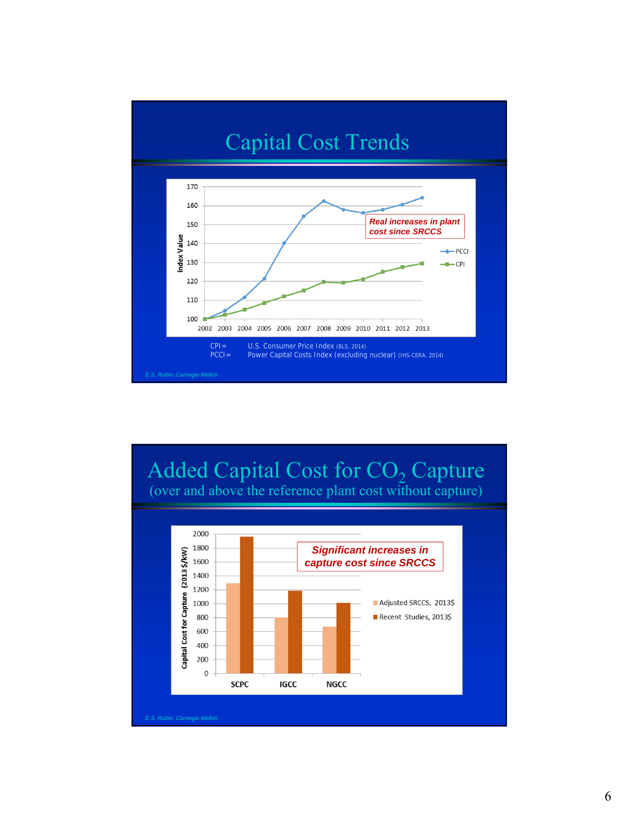

### Added Capital Cost for CO<sub>2</sub> Capture (over and above the reference plant cost without capture)

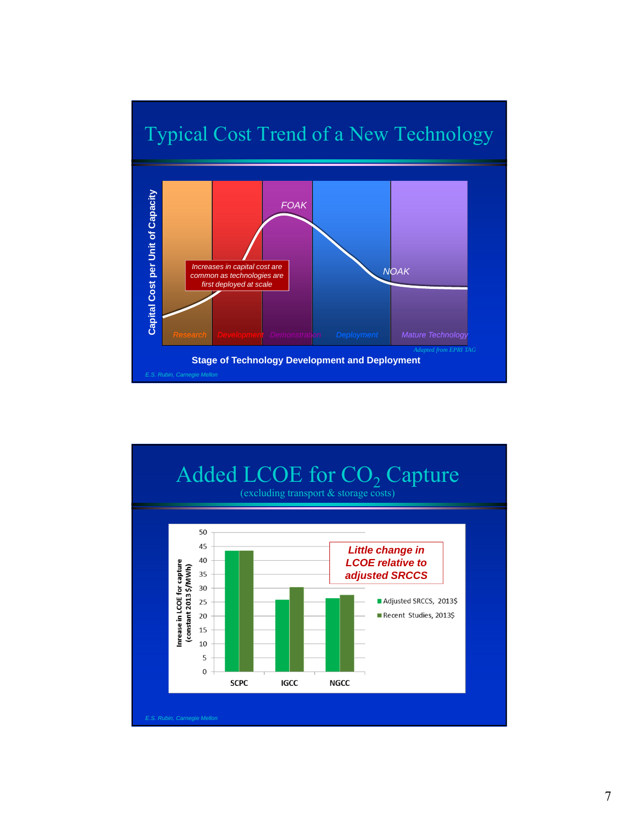

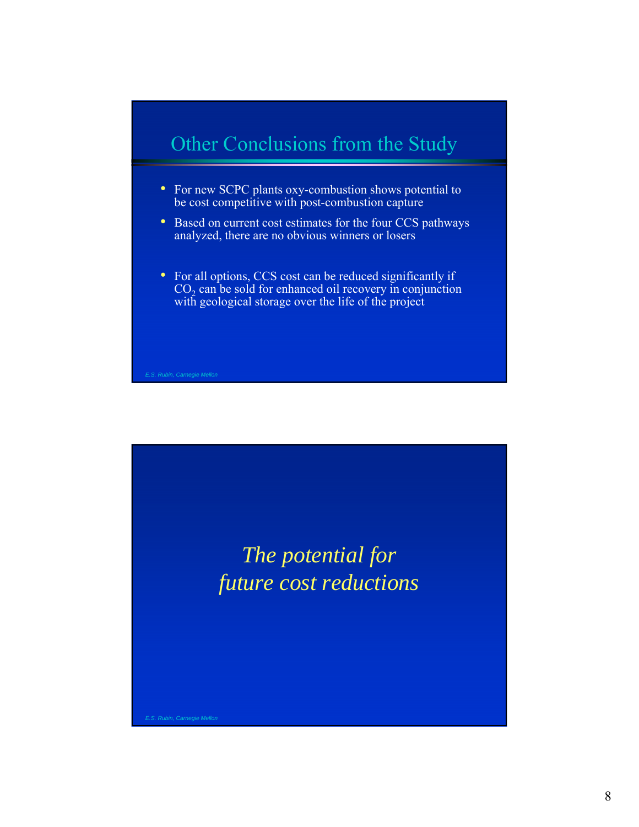### Other Conclusions from the Study

- For new SCPC plants oxy-combustion shows potential to be cost competitive with post-combustion capture
- Based on current cost estimates for the four CCS pathways analyzed, there are no obvious winners or losers
- For all options, CCS cost can be reduced significantly if  $CO<sub>2</sub>$  can be sold for enhanced oil recovery in conjunction with geological storage over the life of the project

*The potential for future cost reductions*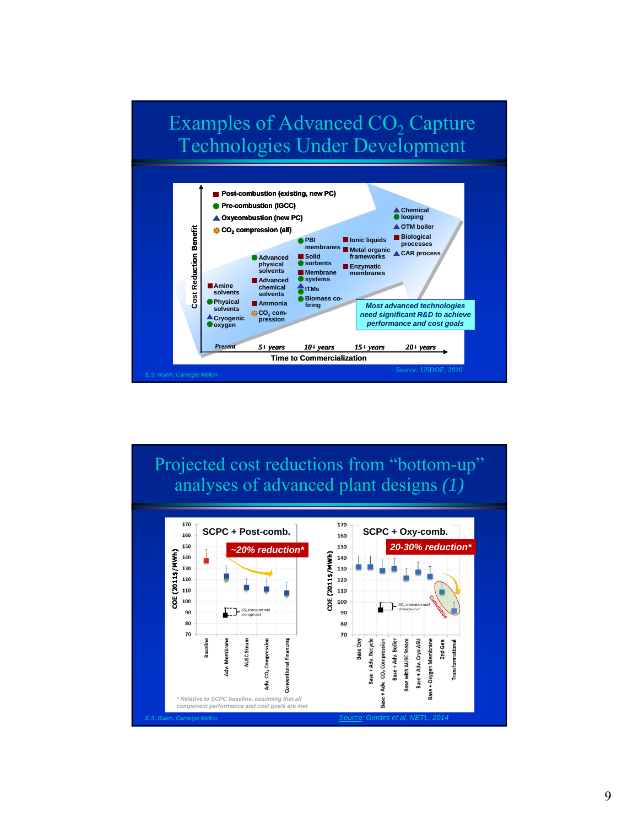



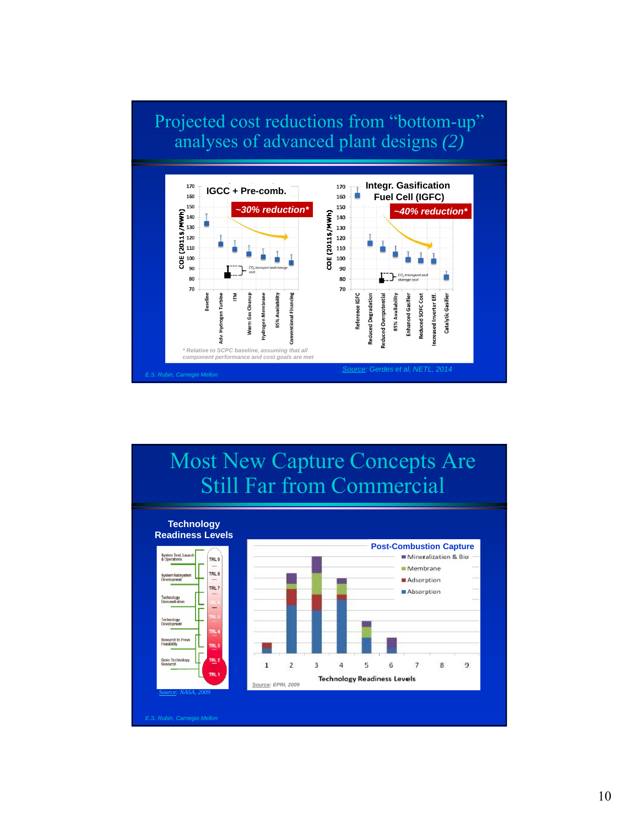### Projected cost reductions from "bottom-up" analyses of advanced plant designs *(2)*



#### Most New Capture Concepts Are Still Far from Commercial **Technology Readiness Levels Post-Combustion Capture**System Test, I<br>& Operations Mineralization & Bio TRL<sub>9</sub> Membrane TRL 8 Adsorption  $TRL$  7 Absorption ⋍  $\overline{2}$  $\overline{3}$  $\overline{4}$ 5 6  $\overline{7}$ 8  $\overline{9}$  $\mathbf{1}$ **Technology Readiness Levels** *Source: EPRI, 2009 Source: NASA, 2009*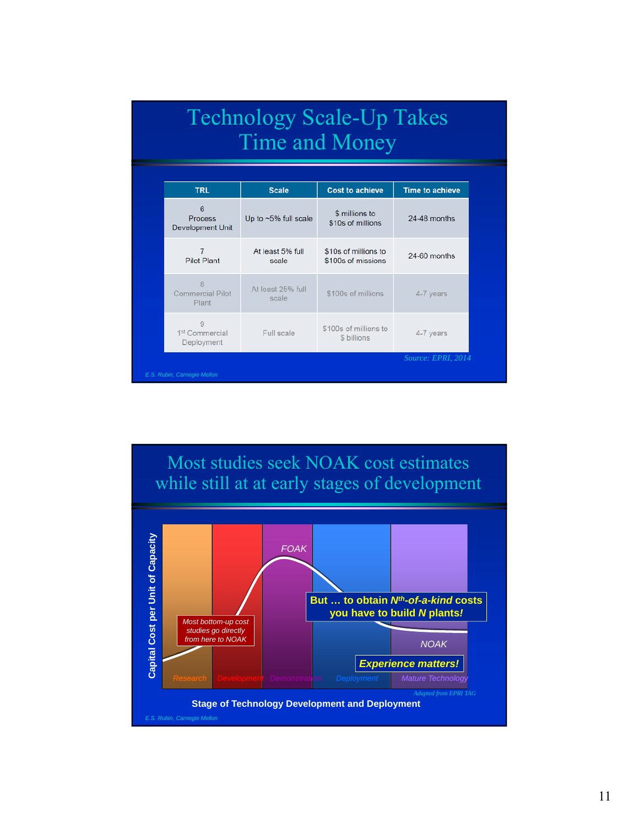|                                                      | <b>Technology Scale-Up Takes</b><br><b>Time and Money</b> |                                            |                        |  |
|------------------------------------------------------|-----------------------------------------------------------|--------------------------------------------|------------------------|--|
| <b>TRL</b>                                           | <b>Scale</b>                                              | <b>Cost to achieve</b>                     | <b>Time to achieve</b> |  |
| 6<br><b>Process</b><br><b>Development Unit</b>       | Up to ~5% full scale                                      | \$ millions to<br>\$10s of millions        | 24-48 months           |  |
| $\overline{7}$<br><b>Pilot Plant</b>                 | At least 5% full<br>scale                                 | \$10s of millions to<br>\$100s of missions | 24-60 months           |  |
| $\mathsf{R}$<br><b>Commercial Pilot</b><br>Plant     | At least 25% full<br>scale                                | \$100s of millions                         | 4-7 years              |  |
| $\Omega$<br>1 <sup>st</sup> Commercial<br>Deployment | Full scale                                                | \$100s of millions to<br>\$ billions       | 4-7 years              |  |
| E.S. Rubin, Carnegie Mellon                          |                                                           |                                            | Source: EPRI, 2014     |  |

Most studies seek NOAK cost estimates while still at at early stages of development *FOAK*

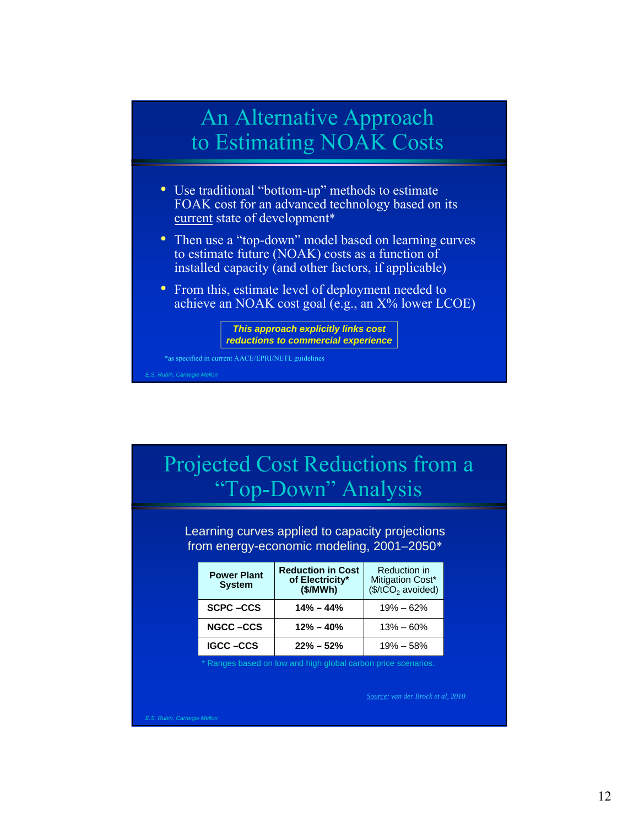### An Alternative Approach to Estimating NOAK Costs

- Use traditional "bottom-up" methods to estimate FOAK cost for an advanced technology based on its current state of development\*
- Then use a "top-down" model based on learning curves to estimate future (NOAK) costs as a function of installed capacity (and other factors, if applicable)
- From this, estimate level of deployment needed to achieve an NOAK cost goal (e.g., an X% lower LCOE)



\*as specified in current AACE/EPRI/NETL guidelines

### Projected Cost Reductions from a "Top-Down" Analysis

Learning curves applied to capacity projections from energy-economic modeling, 2001–2050\*

| <b>Power Plant</b><br><b>System</b> | <b>Reduction in Cost</b><br>of Electricity*<br>(\$/MWh) | Reduction in<br>Mitigation Cost*<br>$($/tCO2$ avoided) |
|-------------------------------------|---------------------------------------------------------|--------------------------------------------------------|
| <b>SCPC-CCS</b>                     | $14\% - 44\%$                                           | $19\% - 62\%$                                          |
| <b>NGCC-CCS</b>                     | $12\% - 40\%$                                           | $13\% - 60\%$                                          |
| <b>IGCC-CCS</b>                     | $22\% - 52\%$                                           | $19\% - 58\%$                                          |

Ranges based on low and high global carbon price scenarios.

*Source: van der Brock et al, 2010*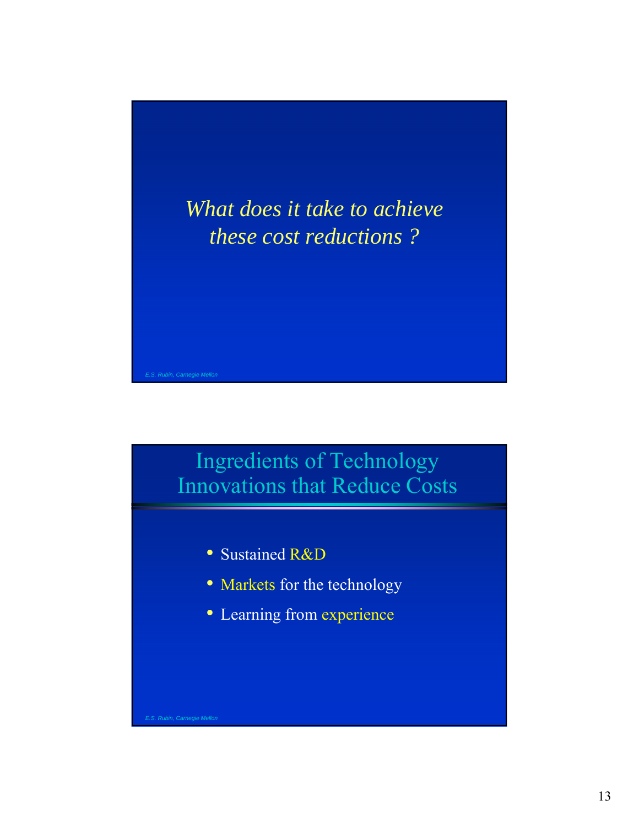



- Sustained R&D
- Markets for the technology
- Learning from experience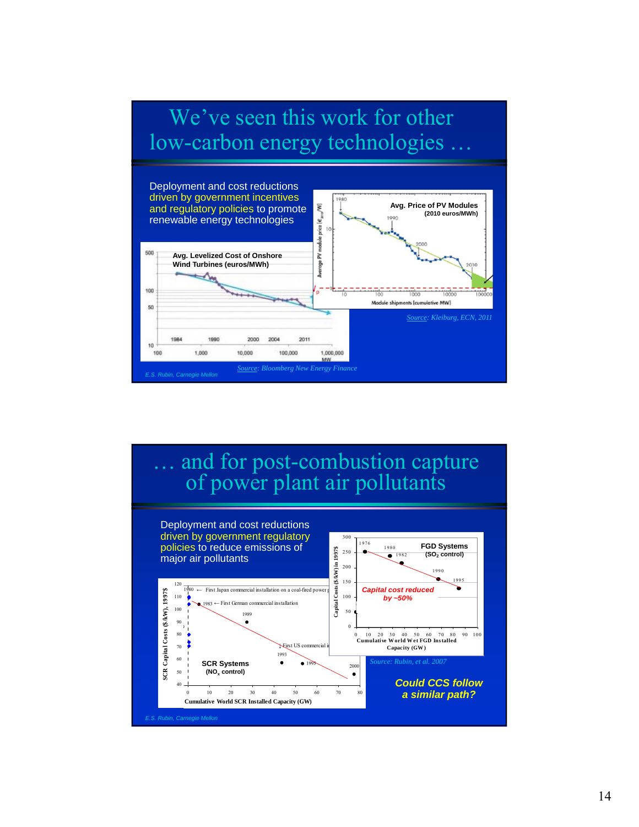

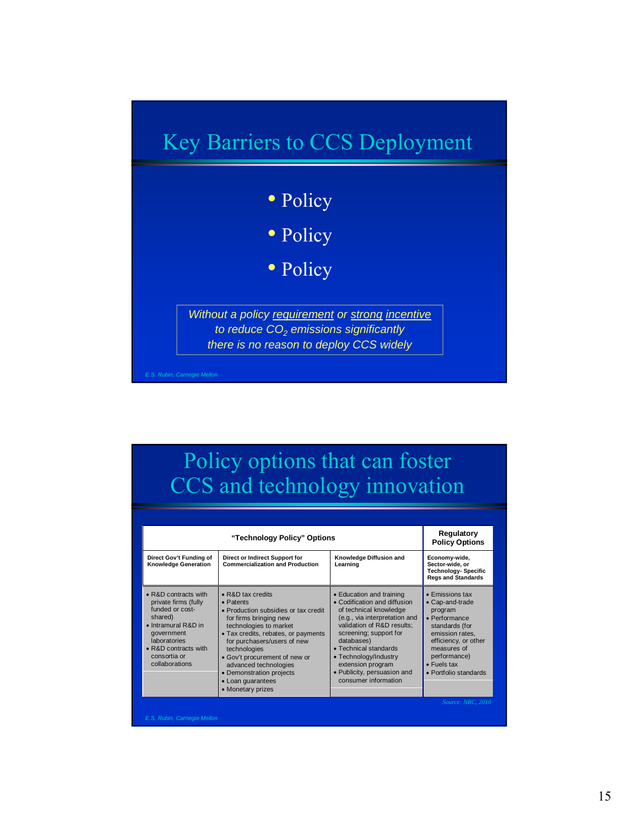

## Policy options that can foster CCS and technology innovation

| Direct Gov't Funding of<br>Direct or Indirect Support for<br><b>Commercialization and Production</b><br><b>Knowledge Generation</b><br>$\bullet$ R&D contracts with<br>$\bullet$ R&D tax credits<br>private firms (fully<br>• Patents<br>funded or cost-<br>• Production subsidies or tax credit<br>shared)<br>for firms bringing new<br>• Intramural R&D in<br>technologies to market<br><i>aovernment</i><br>• Tax credits, rebates, or payments | Knowledge Diffusion and<br>Learning<br>• Education and training<br>• Codification and diffusion<br>of technical knowledge                                                                                                         | Economy-wide,<br>Sector-wide, or<br><b>Technology-Specific</b><br><b>Regs and Standards</b><br>$\bullet$ Emissions tax<br>• Cap-and-trade<br>program      |
|----------------------------------------------------------------------------------------------------------------------------------------------------------------------------------------------------------------------------------------------------------------------------------------------------------------------------------------------------------------------------------------------------------------------------------------------------|-----------------------------------------------------------------------------------------------------------------------------------------------------------------------------------------------------------------------------------|-----------------------------------------------------------------------------------------------------------------------------------------------------------|
|                                                                                                                                                                                                                                                                                                                                                                                                                                                    |                                                                                                                                                                                                                                   |                                                                                                                                                           |
| laboratories<br>for purchasers/users of new<br>$\bullet$ R&D contracts with<br>technologies<br>consortia or<br>• Gov't procurement of new or<br>collaborations<br>advanced technologies<br>• Demonstration projects<br>• Loan guarantees<br>• Monetary prizes                                                                                                                                                                                      | (e.g., via interpretation and<br>validation of R&D results;<br>screening; support for<br>databases)<br>• Technical standards<br>• Technology/Industry<br>extension program<br>· Publicity, persuasion and<br>consumer information | • Performance<br>standards (for<br>emission rates,<br>efficiency, or other<br>measures of<br>performance)<br>$\bullet$ Fuels tax<br>• Portfolio standards |